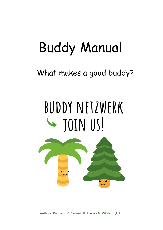# Buddy Manual

# What makes a good buddy?

# BUDDY NETZWERK S JOIN US!



**Authors**: Baumann K, Cedileau P, Igielska M, Wlodarczyk P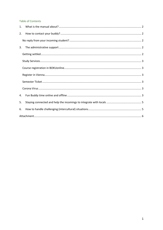#### **Table of Contents**

| 1. |  |
|----|--|
| 2. |  |
|    |  |
| 3. |  |
|    |  |
|    |  |
|    |  |
|    |  |
|    |  |
|    |  |
| 4. |  |
| 5. |  |
| 6. |  |
|    |  |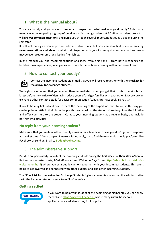# <span id="page-2-0"></span>1. What is the manual about?

You are a buddy and you are not sure what to expect and what makes a good buddy? This buddy manual was developed by a group of buddies and incoming students at BOKU as a student project. It will **answer common questions**, and **guide** you through several important duties as a buddy during the semester.

It will not only give you important administrative hints, but you can also find some interesting **recommendations and ideas** on what to do together with your incoming student in your free time – maybe even create some long-lasting friendships.

In this manual you find recommendations and ideas from first hand – from both incomings and buddies, own experiences, local guides and many hours of brainstorming within our project team.

## <span id="page-2-1"></span>2. How to contact your buddy?



Contact the incoming student **via e-mail** that you will receive together with the **checklist for the arrival for exchange** students.

We highly recommend that you contact them immediately when you get their contact details, but at latest before they arrive to Vienna; introduce yourself and get familiar with each other. Maybe you can exchange other contact details for easier communication (WhatsApp, Facebook, Signal, …).

It would be very helpful and nice to meet the incoming at the airport or train station, in this way you can help them settle in their flat or help with the check-in at the student dormitory. Take the initiative and offer your help to the student. Contact your incoming student at a regular basis, and include her/him into activities.

### <span id="page-2-2"></span>**No reply from your incoming student?**

Make sure that you write another friendly e-mail after a few days in case you don't get any response at the first time. After a couple of weeks with no reply, try to find them on social media platforms, like Facebook or send an Email to **[Buddy@boku.ac.at.](mailto:Buddy@boku.ac.at)**

# <span id="page-2-3"></span>3. The administrative support

Buddies are particularly important for incoming students during the **first weeks of their stay** in Vienna. Before the semester starts, BOKU-IR organizes "Welcome Days" (see [https://short.boku.ac.at/int-in](https://short.boku.ac.at/int-in-welcome-en.html)[welcome-en.html\)](https://short.boku.ac.at/int-in-welcome-en.html) where you as a buddy can join together with your incoming students. This event helps to get involved and connected with other buddies and also other incoming students.

The "**Checklist for the arrival for Exchange Students**" gives an overview about all the administrative tasks the incoming student needs to fulfill after arrival.

## <span id="page-2-4"></span>**Getting settled**



If you want to help your student at the beginning of his/her stay you can show the website [https://www.willhaben.at](https://www.willhaben.at/) where many useful household appliances are available to buy for low prices.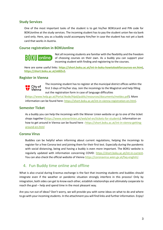#### <span id="page-3-0"></span>**Study Services**

One of the most important tasks of the student is to get his/her BOKUcard and PIN code for BOKUonline at the study services. The incoming student has to pay the student union fee via bank card only. Here, you as a buddy could accompany him/her in case the student has not yet a bank card that works in Austria.

#### <span id="page-3-1"></span>**Course registration in BOKUonline**

# $\left| \left| \right| \right| \left| \right| \left| \right| \left| \right|$  online

Not all incoming students are familiar with the flexibility and the freedom of choosing courses on their own. As a buddy you can support your incoming student with finding and registering to the courses.

Here are some useful links: **[https://short.boku.ac.at/int-in-boku-howtolookforcourses-en.html,](https://short.boku.ac.at/int-in-boku-howtolookforcourses-en.html) [https://short.boku.ac.at/e682v2.](https://short.boku.ac.at/e682v2)**

#### <span id="page-3-2"></span>**Register in Vienna**



The incoming student has to register at the municipal district offices within the first 3 days of his/her stay. Join the incomings to the Magistrat and help filling out the registration form in case of language difficulties

[\(https://www.help.gv.at/Portal.Node/hlpd/public/resources/documents/meldez.pdf\)](https://www.help.gv.at/Portal.Node/hlpd/public/resources/documents/meldez.pdf). More information can be found here[: https://short.boku.ac.at/int-in-vienna-registration-en.html.](https://short.boku.ac.at/int-in-vienna-registration-en.html)

#### <span id="page-3-3"></span>**Semester Ticket**

As a buddy you can help the incomings with the Wiener Linien website or go to one of the ticket shops together [\(https://www.wienerlinien.at/web/wl-en/tickets-for-students\)](https://www.wienerlinien.at/web/wl-en/tickets-for-students). Information on how to get around in Vienna can be found here [: https://short.boku.ac.at/int-in-vienna-getting](https://short.boku.ac.at/int-in-vienna-getting-around-en.html)[around-en.html](https://short.boku.ac.at/int-in-vienna-getting-around-en.html)

#### <span id="page-3-4"></span>**Corona Virus**

Buddies can be helpful when informing about current regulations, helping the incomings to register for a free Corona test and joining them for their first test. Especially during the pandemic with social distancing, being and having a buddy is even more important. The BOKU website is regularly updated with information concerning COVID: [https://short.boku.ac.at/int-in-current.](https://short.boku.ac.at/int-in-current) You can also check the official website of Vienna [https://coronavirus.wien.gv.at/faq-english/.](https://coronavirus.wien.gv.at/faq-english/)

## <span id="page-3-5"></span>4. Fun Buddy time online and offline

What is also crucial during Erasmus exchange is the fact that incoming students and buddies should integrate even if the weather or pandemic situation strongly interfere in this process! Only by integration, both sides can get to know each other, establish relationships and ultimately cooperate to reach the goal – help and spend time in the most pleasant way.

Are you run out of ideas? Don't worry, we will provide you with some ideas on what to do and where to go with your incoming students. In the attachment you will find links and further information. Enjoy!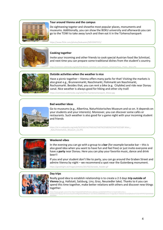

#### **Tour around Vienna and the campus**

Do sightseeing togeter and showthe most popular places, monuments and museums. Additionally, you can show the BOKU university and afterwards you can go to the TÜWI to take away lunch and then eat it in the Türkenschanzpark

https://www.flickr.com/photos/bokuwien/50519307221/



#### **Cooking together**

Invite your incoming and other friends to cook special Austrian food like Schnitzel, and next time you can prepare some traditional dishes from the student's country.

://commons.wikimedia.org/wiki/File:Wiener\_Schnitzel\_vom\_Schwein,\_Schweizerhaus,\_Prater,\_Wien.JPG



#### **Outside activities when the weather is nice**

Have a picnic together – Vienna offers many parks for that! Visiting the markets is also great e.g., Brunnenmarkt, Naschmarkt, Flohmarkt am Naschmarkt, Rochusmarkt. Besides that, you can rent a bike (e.g. Citybike) and ride near Donau canal. Nice weather is always good for hiking and other city traill

https://commons.wikimedia.org/wiki/File:Tuerkenschanzpark\_Wiese.jpg



#### **Bad weather ideas**

Go to museums (e.g., Albertina, Naturhistorisches Museum and so on. It depends on your students and your interests). Moreover, you can discover some cafés or restaurants. Such weather is also good for a game night with your incoming student and friends

https://el.m.wikipedia.org/wiki/%CE%91%CF%81%CF%87%CE%B5%CE%AF%CE%BF:Wien\_- \_Naturhistorisches\_Museum\_(1).JPG



#### **Weekend vibes**

In the evening you can go with a group to a **bar** (for example karaoke bar – this is also good idea when you want to have fun and feel free) or just invite everyone and have a **party** near Donau. Here you can play your favorite music, dance and drink beer!!

If you and your student don't like to party, you can go around the Graben Street and admire Vienna by night – we recommend a spot near the Gutenberg monument.

https://goodnight.at/images/articles/201702/karaoke\_header.gif



#### **Day trips**

Really good idea to establish relationship is to create a 2-3 days **trip outside of Vienna** (e.g. Hallstatt, Salzburg, Linz, Graz, Neusiedler lake). Thanks to it you can spend this time together, make better relations with others and discover new things together.

https://www.google.com/url?sa=i&url=https%3A%2F%2Fwww.safestay.com%2Fde%2Fhow-to-travel-with-only-a-<br>backpack%2F&psig=AOvVaw1AaayfshvEfRg2SOba9RRu&ust=1627642512688000&source=images&cd=vfe&ved=0CAoQjRxqFwoTCPj2nIWPiPICFQAA AAAABAD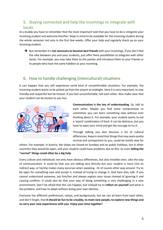# <span id="page-5-0"></span>5. Staying connected and help the incomings to integrate with locals

As a buddy you have to remember that the most important task that you have to do is integrate your incoming student and welcome him/her. Keep in mind to be available for the incoming student during the whole semester not only in the first few weeks. Offer your help and regularly check up on your incoming student.

➔ But remember it's **not necessary to become best friends** with your incomings, if you don't feel the vibe between you and your students, just offer them possibilities to integrate with other locals. For example, you may take them to the parties and introduce them to your friends or to people who have the same hobbies as your incoming.

# <span id="page-5-1"></span>6. How to handle challenging (intercultural) situations

It can happen that you will experience some kind of uncomfortable situations. For example, the incoming student wants to be picked up from the airport at midnight. Here it is very important, to stay friendly and respectful but be honest. If you feel uncomfortable, tell each other. Also make clear that your student can be honest to you too.



**Communication is the key of understanding**. So, talk to each other. Maybe you find some compromises or sometimes you can learn something new without ever thinking about it. For example, your student wants to eat a 'weird' combination of food. It can be delicious, but you have to open your mind and get the courage to try it.

Through talking you also discover a lot of cultural differences. Keep in mind that things that may seem pretty normal and unimportant to you, could be totally new for

others. For example, in Austria, the shops are closed on Sundays and on public holidays, but in other countries they would be open, and your student could have problems due to this. So even **telling the "normal" things could often be a big help**.

Every culture and individuals not only have obvious differences, but also invisible ones. Like the way of communication. It could be that you are talking very directly but your student is more into an indirect way, or he/she makes many excurses when speaking. Or of course other way around. Try to be open for something new and accept it, instead of trying to change it. And here also, talk. If you cannot understand someone, ask him/her and always explain your issues instead of ignoring it and causing conflicts. It could also be that your way of doing something is very challenging in a new environment. Don't be afraid that this can happen, but instead try to **reflect on yourself** and what is the problem, and how to adapt without losing your own identity.

Everyone has different preferences, values, and backgrounds, but we can all learn from each other, and don't forget, that **it should be fun to be a buddy, to meet new people, to explore new things and to carry your new experiences with you. Enjoy your time together!**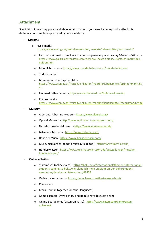# <span id="page-6-0"></span>Attachment

Short list of interesting places and ideas what to do with your new incoming buddy (the list is definitely not complete - please add your own ideas):

#### - **Markets**

- o Naschmarkt <https://www.wien.gv.at/freizeit/einkaufen/maerkte/lebensmittel/naschmarkt/>
	- $\circ$  Liechtensteinmarkt (small local market open every Wednesday 10 $^{\text{00}}$  am 5 $^{\text{00}}$  pm) [https://www.palaisliechtenstein.com/de/news/news-details/143/fesch-markt-deli](https://www.palaisliechtenstein.com/de/news/news-details/143/fesch-markt-deli-edition.html)[edition.html](https://www.palaisliechtenstein.com/de/news/news-details/143/fesch-markt-deli-edition.html)
	- o Moonlight bazaar <https://www.mondscheinbazar.at/mondscheinbazar>
	- o Turkish market
	- o Brunnenmarkt and Yppenplatz [https://www.wien.gv.at/freizeit/einkaufen/maerkte/lebensmittel/brunnenmarkt.ht](https://www.wien.gv.at/freizeit/einkaufen/maerkte/lebensmittel/brunnenmarkt.html) [ml](https://www.wien.gv.at/freizeit/einkaufen/maerkte/lebensmittel/brunnenmarkt.html)
	- o Flohmarkt (fleamarket) <https://www.flohmarkt.at/flohmaerkte/wien>
	- o Rochusmarkt <https://www.wien.gv.at/freizeit/einkaufen/maerkte/lebensmittel/rochusmarkt.html>

#### - **Museum**

- o Albertina, Albertina Modern <https://www.albertina.at/>
- o Optical Museum <http://www.opticalheritagemuseum.com/>
- o Naturhistorisches Museum <https://www.nhm-wien.ac.at/>
- o Belvedere Museum <https://www.belvedere.at/>
- o Haus der Musik <https://www.hausdermusik.com/>
- o Museumsquartier (good to relax outside too) <https://www.mqw.at/en/>
- o Hundertwasser [https://www.kunsthauswien.com/de/ausstellungen/museum](https://www.kunsthauswien.com/de/ausstellungen/museum-hundertwasser/)[hundertwasser/](https://www.kunsthauswien.com/de/ausstellungen/museum-hundertwasser/)

#### - **Online activities**

- o Stammtisch (online event) [https://boku.ac.at/international/themen/international](https://boku.ac.at/international/themen/international-students-coming-to-boku/wie-plane-ich-mein-studium-an-der-boku/student-newsletter/detailansicht/newsitem/48439)[students-coming-to-boku/wie-plane-ich-mein-studium-an-der-boku/student](https://boku.ac.at/international/themen/international-students-coming-to-boku/wie-plane-ich-mein-studium-an-der-boku/student-newsletter/detailansicht/newsitem/48439)[newsletter/detailansicht/newsitem/48439](https://boku.ac.at/international/themen/international-students-coming-to-boku/wie-plane-ich-mein-studium-an-der-boku/student-newsletter/detailansicht/newsitem/48439)
- o Online treasure hunts <https://brainchase.com/the-treasure-hunt/>
- o Chat online
- o Learn German together (or other languages)
- o Game example: Draw a story and people have to guess online
- o Online Boardgames (Catan Universe) [https://www.catan.com/game/catan](https://www.catan.com/game/catan-universe)[universe#](https://www.catan.com/game/catan-universe)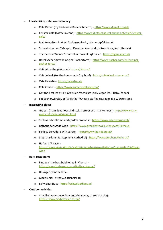#### - **Local cuisine, café, confectionary**

- o Cafe Demel (try traditional Kaiserschmarrn) <https://www.demel.com/de>
- o Fenster Café (coffee in cone) [https://www.diefruehstueckerinnen.at/wien/fenster](https://www.diefruehstueckerinnen.at/wien/fenster-cafe/)[cafe/](https://www.diefruehstueckerinnen.at/wien/fenster-cafe/)
- o Buchteln; Germknödel; Zuckerreinkerln, Wiener Apfelstrudel
- o Schweinsbraten; Tafelspitz; Kärntner Kasnudeln; Käsespätzle; Kartoffelsalat
- o Try the best Wiener Schnitzel in town at Figlmüller <https://figlmueller.at/>
- o Hotel Sacher (try the original Sachertorte) [https://www.sacher.com/en/original](https://www.sacher.com/en/original-sacher-torte/)[sacher-torte/](https://www.sacher.com/en/original-sacher-torte/)
- o Café Aida (the pink one) <https://aida.at/>
- o Café Jelinek (try the homemade Guglhupf) <http://cafejelinek.steman.at/>
- o Café Hawelka <https://hawelka.at/>
- o Café Central <https://www.cafecentral.wien/en/>
- o Get the best Ice at: Eis Greissler, Veganista (only Vegan ice), Tichy, Zanoni
- o Eat Sacherwürstel, or "A eitrige" (Cheese stuffed sausage) at a Würstelstand

#### - **Interesting places**

- $\circ$  Graben (main, luxurious and stylish street with many shops) [https://www.city](https://www.city-walks.info/Wien/Graben.html)[walks.info/Wien/Graben.html](https://www.city-walks.info/Wien/Graben.html)
- o Schloss Schönbrunn and garden around it <https://www.schoenbrunn.at/>
- o Rathaus der Stadt Wien <https://www.geschichtewiki.wien.gv.at/Rathaus>
- o Schloss Belvedere with garden <https://www.belvedere.at/>
- o Stephansdom (St. Stephen's Cathedral) <https://www.stephanskirche.at/>
- o Hofburg (Palace) [https://www.wien.info/de/sightseeing/sehenswuerdigkeiten/imperiales/hofburg](https://www.wien.info/de/sightseeing/sehenswuerdigkeiten/imperiales/hofburg-wien)[wien](https://www.wien.info/de/sightseeing/sehenswuerdigkeiten/imperiales/hofburg-wien)

#### - **Bars, restaurants**

- o Find tea (the best bubble tea in Vienna) [https://www.instagram.com/findtea\\_vienna/](https://www.instagram.com/findtea_vienna/)
- o Heuriger (wine sellers)
- o Glacis Beisl https://glacisbeisl.at/
- o Schweizer Haus <https://schweizerhaus.at/>
- **Outdoor activities**
	- o Citybike (very convenient and cheap way to see the city): <https://www.citybikewien.at/en/>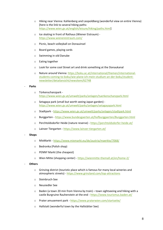- o Hiking near Vienna: Kahlenberg and Leopoldberg (wonderful view on entire Vienna) [here is the link to several hiking paths: [https://www.wien.gv.at/english/leisure/hiking/paths.html\]](https://www.wien.gv.at/english/leisure/hiking/paths.html)
- o Ice skating in front of Rathaus (Wiener Eistraum) <https://www.wienereistraum.com/>
- o Picnic, beach volleyball on Donauinsel
- o Board games, playing cards
- o Swimming in old Danube
- o Eating together
- o Look for some cool Street art and drink something at the Donaukanal
- o Nature around Vienna[: https://boku.ac.at/international/themen/international](https://boku.ac.at/international/themen/international-students-coming-to-boku/wie-plane-ich-mein-studium-an-der-boku/student-newsletter/detailansicht/newsitem/62748)[students-coming-to-boku/wie-plane-ich-mein-studium-an-der-boku/student](https://boku.ac.at/international/themen/international-students-coming-to-boku/wie-plane-ich-mein-studium-an-der-boku/student-newsletter/detailansicht/newsitem/62748)[newsletter/detailansicht/newsitem/62748](https://boku.ac.at/international/themen/international-students-coming-to-boku/wie-plane-ich-mein-studium-an-der-boku/student-newsletter/detailansicht/newsitem/62748)

#### - **Parks**

- o Türkenschanzpark <https://www.wien.gv.at/umwelt/parks/anlagen/tuerkenschanzpark.html>
- o Setagaya park (small but worth seeing Japan garden) <https://www.wien.gv.at/umwelt/parks/anlagen/setagayapark.html>
- o Stadtpark <https://www.wien.gv.at/umwelt/parks/anlagen/stadtpark.html>
- o Burggarten <https://www.bundesgaerten.at/hofburggaerten/Burggarten.html>
- o Perchtoldsdorfer Heide (nature reserve) <https://perchtoldsdorfer-heide.at/>
- o Lainzer Tiergarten <https://www.lainzer-tiergarten.at/>

#### - **Shops**

- o MixMarkt <https://www.mixmarkt.eu/de/austria/maerkte/7068/>
- o Bedronka (Polish shop)
- o PENNY Markt (the cheapest)
- o Wien Mitte (shopping center) <https://wienmitte-themall.at/en/home-2/>

#### - **Others**

- o Grinzing district (touristic place which is famous for many local wineries and atmospheric streets) - <https://www.grinzland.com/top-attractions>
- o Steinbruch-See
- o Neusiedler See
- $\circ$  Baden (a town 20 min from Vienna by train) town sightseeing and hiking with a castle Burgruine Rauhenstein at the end - <https://www.tourismus.baden.at/>
- o Prater amusement park <https://www.praterwien.com/startseite/>
- o Hallstatt (wonderful town by the Hallstätter See)